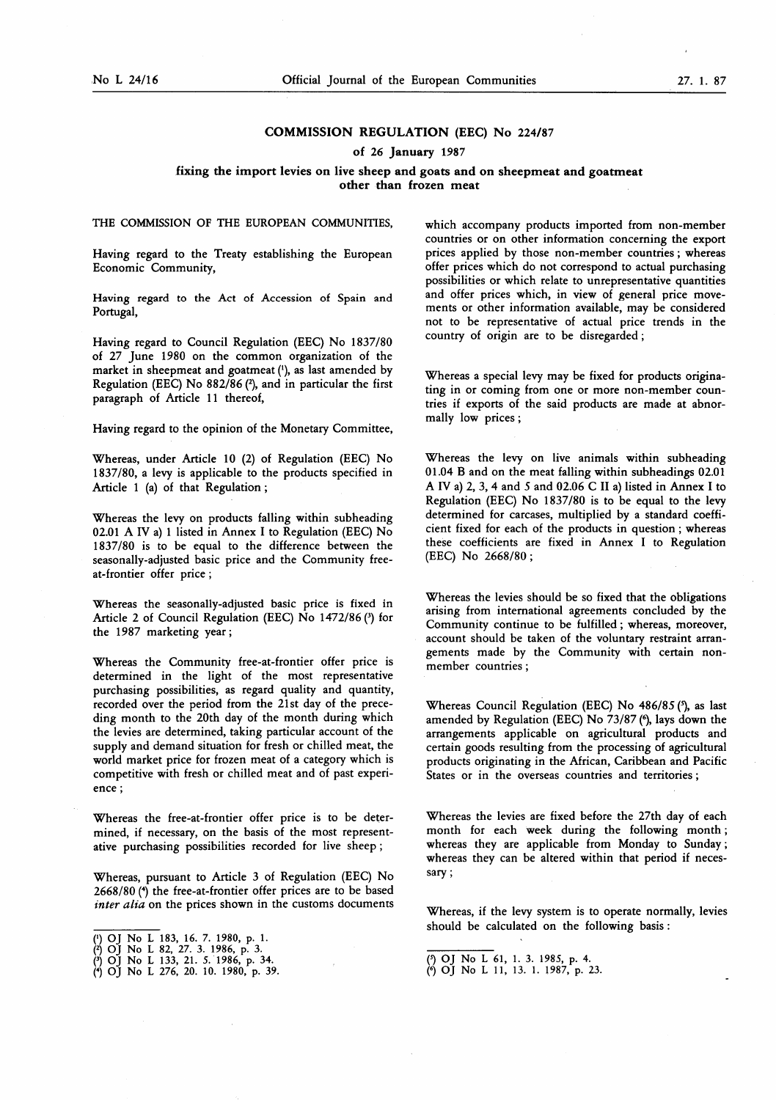# COMMISSION REGULATION (EEC) No 224/87

of 26 January 1987

### fixing the import levies on live sheep and goats and on sheepmeat and goatmeat other than frozen meat

THE COMMISSION OF THE EUROPEAN COMMUNITIES,

Having regard to the Treaty establishing the European Economic Community,

Having regard to the Act of Accession of Spain and Portugal,

Having regard to Council Regulation (EEC) No 1837/80 of 27 June 1980 on the common organization of the market in sheepmeat and goatmeat ('), as last amended by Regulation (EEC) No  $882/86$  ( $2$ ), and in particular the first paragraph of Article 11 thereof,

Having regard to the opinion of the Monetary Committee,

Whereas, under Article 10 (2) of Regulation (EEC) No 1837/80, <sup>a</sup> levy is applicable to the products specified in Article <sup>1</sup> (a) of that Regulation ;

Whereas the levy on products falling within subheading 02.01 A IV a) <sup>1</sup> listed in Annex I to Regulation (EEC) No 1837/80 is to be equal to the difference between the seasonally-adjusted basic price and the Community freeat-frontier offer price ;

Whereas the seasonally-adjusted basic price is fixed in Article 2 of Council Regulation (EEC) No 1472/86 (3) for the 1987 marketing year ;

Whereas the Community free-at-frontier offer price is determined in the light of the most representative purchasing possibilities, as regard quality and quantity, recorded over the period from the 21st day of the preceding month to the 20th day of the month during which the levies are determined, taking particular account of the supply and demand situation for fresh or chilled meat, the world market price for frozen meat of a category which is competitive with fresh or chilled meat and of past experience ;

Whereas the free-at-frontier offer price is to be determined, if necessary, on the basis of the most representative purchasing possibilities recorded for live sheep ;

Whereas, pursuant to Article 3 of Regulation (EEC) No 2668/80 (4) the free-at-frontier offer prices are to be based inter alia on the prices shown in the customs documents

which accompany products imported from non-member countries or on other information concerning the export prices applied by those non-member countries ; whereas offer prices which do not correspond to actual purchasing possibilities or which relate to unrepresentative quantities and offer prices which, in view of general price movements or other information available, may be considered not to be representative of actual price trends in the country of origin are to be disregarded ;

Whereas a special levy may be fixed for products originating in or coming from one or more non-member countries if exports of the said products are made at abnormally low prices ;

Whereas the levy on live animals within subheading 01.04 B and on the meat falling within subheadings 02.01 A IV a) 2, 3, 4 and 5 and 02.06 C II a) listed in Annex I to Regulation (EEC) No 1837/80 is to be equal to the levy determined for carcases, multiplied by a standard coefficient fixed for each of the products in question ; whereas these coefficients are fixed in Annex I to Regulation (EEC) No 2668/80 ;

Whereas the levies should be so fixed that the obligations arising from international agreements concluded by the Community continue to be fulfilled ; whereas, moreover, account should be taken of the voluntary restraint arrangements made by the Community with certain nonmember countries ;

Whereas Council Regulation (EEC) No 486/85 (\*), as last amended by Regulation (EEC) No 73/87 (<sup>6</sup>), lays down the arrangements applicable on agricultural products and certain goods resulting from the processing of agricultural products originating in the African, Caribbean and Pacific States or in the overseas countries and territories ;

Whereas the levies are fixed before the 27th day of each month for each week during the following month ; whereas they are applicable from Monday to Sunday; whereas they can be altered within that period if necessary ;

Whereas, if the levy system is to operate normally, levies should be calculated on the following basis :

<sup>(&#</sup>x27;) OJ No L 183, 16. 7. 1980, p. <sup>1</sup> .

<sup>(2)</sup> OJ No L 82, 27. 3. 1986, p. 3.

<sup>(?)</sup> OJ No L 133, 21. 5. 1986, p. 34.<br>(\*) OJ No L 276, 20. 10. 1980, p. 35

<sup>(\*)</sup> OJ No L 61, 1. 3. 1985, p. 4.<br>(\*) OJ No L 11, 13. 1. 1987, p. 23.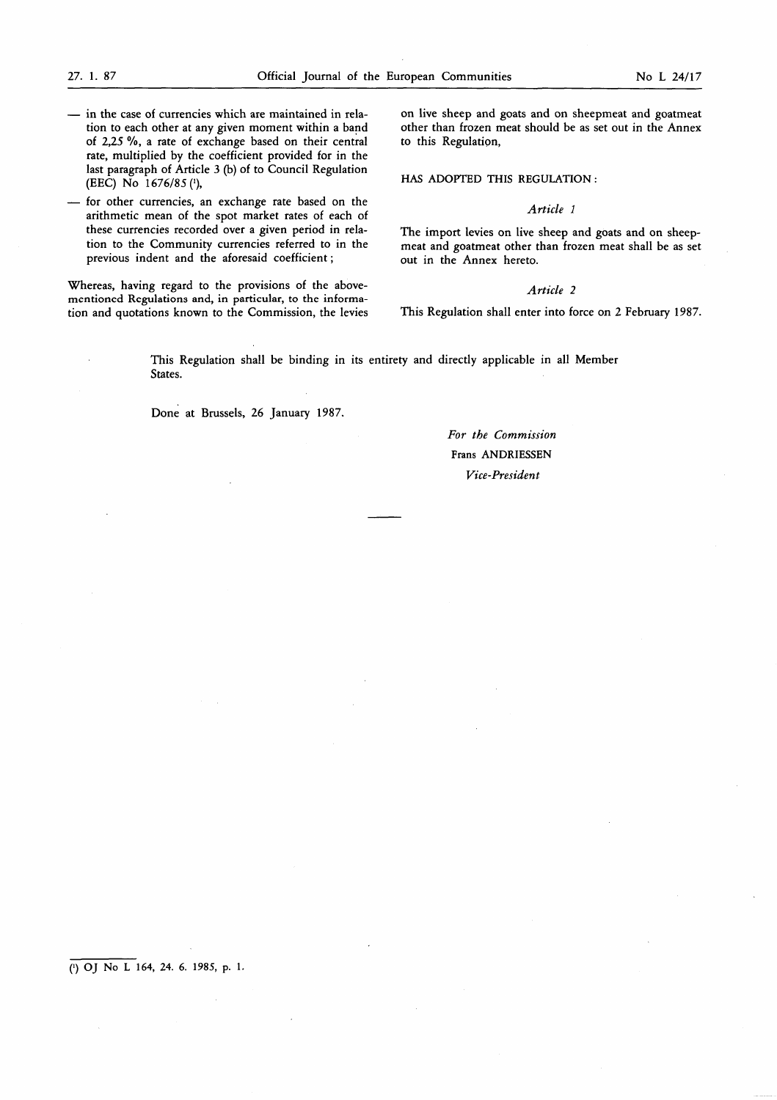- in the case of currencies which are maintained in relation to each other at any given moment within a band of 2,25 %, a rate of exchange based on their central rate, multiplied by the coefficient provided for in the last paragraph of Article 3 (b) of to Council Regulation (EEC) No  $1676/85$  (1),
- for other currencies, an exchange rate based on the arithmetic mean of the spot market rates of each of these currencies recorded over a given period in relation to the Community currencies referred to in the previous indent and the aforesaid coefficient ;

Whereas, having regard to the provisions of the abovementioned Regulations and, in particular, to the information and quotations known to the Commission, the levies

on live sheep and goats and on sheepmeat and goatmeat other than frozen meat should be as set out in the Annex to this Regulation,

HAS ADOPTED THIS REGULATION :

#### Article <sup>1</sup>

The import levies on live sheep and goats and on sheepmeat and goatmeat other than frozen meat shall be as set out in the Annex hereto.

# Article 2

This Regulation shall enter into force on 2 February 1987.

This Regulation shall be binding in its entirety and directly applicable in all Member States.

Done at Brussels, 26 January 1987.

# For the Commission Frans ANDRIESSEN Vice-President

 $(1)$  OJ No L 164, 24. 6. 1985, p. 1.